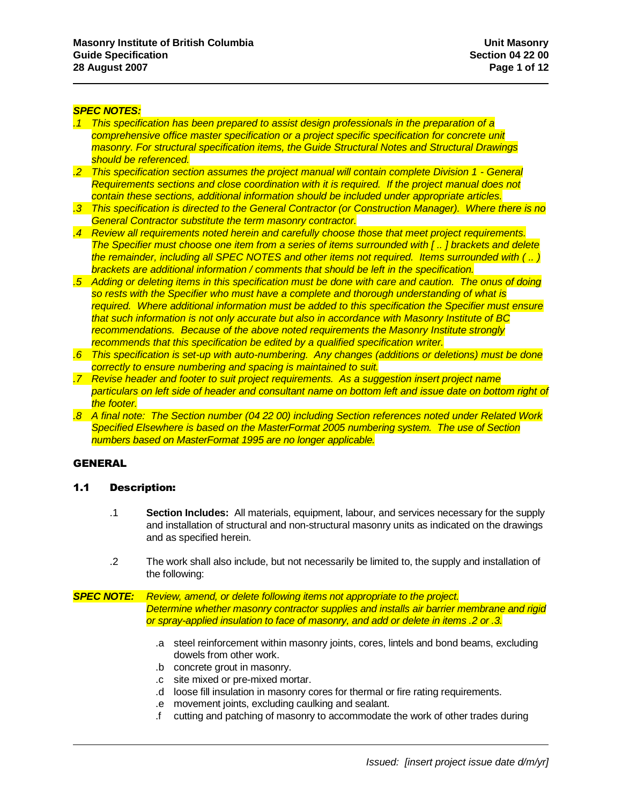#### *SPEC NOTES:*

- *.1 This specification has been prepared to assist design professionals in the preparation of a comprehensive office master specification or a project specific specification for concrete unit masonry. For structural specification items, the Guide Structural Notes and Structural Drawings should be referenced.*
- *.2 This specification section assumes the project manual will contain complete Division 1 - General Requirements sections and close coordination with it is required. If the project manual does not contain these sections, additional information should be included under appropriate articles.*
- *.3 This specification is directed to the General Contractor (or Construction Manager). Where there is no General Contractor substitute the term masonry contractor.*
- *.4 Review all requirements noted herein and carefully choose those that meet project requirements. The Specifier must choose one item from a series of items surrounded with [ .. ] brackets and delete the remainder, including all SPEC NOTES and other items not required. Items surrounded with ( .. ) brackets are additional information / comments that should be left in the specification.*
- *.5 Adding or deleting items in this specification must be done with care and caution. The onus of doing so rests with the Specifier who must have a complete and thorough understanding of what is required. Where additional information must be added to this specification the Specifier must ensure that such information is not only accurate but also in accordance with Masonry Institute of BC recommendations. Because of the above noted requirements the Masonry Institute strongly recommends that this specification be edited by a qualified specification writer.*
- *.6 This specification is set-up with auto-numbering. Any changes (additions or deletions) must be done correctly to ensure numbering and spacing is maintained to suit.*
- *.7 Revise header and footer to suit project requirements. As a suggestion insert project name particulars on left side of header and consultant name on bottom left and issue date on bottom right of the footer.*
- *.8 A final note: The Section number (04 22 00) including Section references noted under Related Work Specified Elsewhere is based on the MasterFormat 2005 numbering system. The use of Section numbers based on MasterFormat 1995 are no longer applicable.*

# GENERAL

#### 1.1 Description:

- .1 **Section Includes:** All materials, equipment, labour, and services necessary for the supply and installation of structural and non-structural masonry units as indicated on the drawings and as specified herein.
- .2 The work shall also include, but not necessarily be limited to, the supply and installation of the following:

*SPEC NOTE: Review, amend, or delete following items not appropriate to the project. Determine whether masonry contractor supplies and installs air barrier membrane and rigid or spray-applied insulation to face of masonry, and add or delete in items .2 or .3.*

- .a steel reinforcement within masonry joints, cores, lintels and bond beams, excluding dowels from other work.
- .b concrete grout in masonry.
- .c site mixed or pre-mixed mortar.
- .d loose fill insulation in masonry cores for thermal or fire rating requirements.
- .e movement joints, excluding caulking and sealant.
- .f cutting and patching of masonry to accommodate the work of other trades during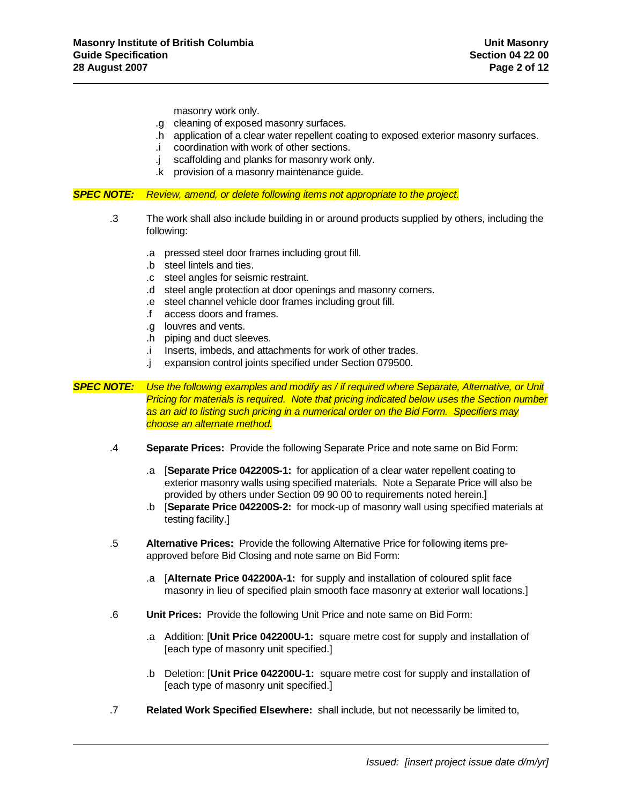masonry work only.

- .g cleaning of exposed masonry surfaces.
- .h application of a clear water repellent coating to exposed exterior masonry surfaces.
- .i coordination with work of other sections.
- .j scaffolding and planks for masonry work only.
- .k provision of a masonry maintenance guide.

*SPEC NOTE: Review, amend, or delete following items not appropriate to the project.*

- .3 The work shall also include building in or around products supplied by others, including the following:
	- .a pressed steel door frames including grout fill.
	- .b steel lintels and ties.
	- .c steel angles for seismic restraint.
	- .d steel angle protection at door openings and masonry corners.
	- .e steel channel vehicle door frames including grout fill.
	- .f access doors and frames.
	- .g louvres and vents.
	- .h piping and duct sleeves.
	- .i Inserts, imbeds, and attachments for work of other trades.
	- .j expansion control joints specified under Section 079500.

*SPEC NOTE: Use the following examples and modify as / if required where Separate, Alternative, or Unit Pricing for materials is required. Note that pricing indicated below uses the Section number as an aid to listing such pricing in a numerical order on the Bid Form. Specifiers may choose an alternate method.*

- .4 **Separate Prices:** Provide the following Separate Price and note same on Bid Form:
	- .a [**Separate Price 042200S-1:** for application of a clear water repellent coating to exterior masonry walls using specified materials. Note a Separate Price will also be provided by others under Section 09 90 00 to requirements noted herein.]
	- .b [**Separate Price 042200S-2:** for mock-up of masonry wall using specified materials at testing facility.]
- .5 **Alternative Prices:** Provide the following Alternative Price for following items preapproved before Bid Closing and note same on Bid Form:
	- .a [**Alternate Price 042200A-1:** for supply and installation of coloured split face masonry in lieu of specified plain smooth face masonry at exterior wall locations.]
- .6 **Unit Prices:** Provide the following Unit Price and note same on Bid Form:
	- .a Addition: [**Unit Price 042200U-1:** square metre cost for supply and installation of [each type of masonry unit specified.]
	- .b Deletion: [**Unit Price 042200U-1:** square metre cost for supply and installation of [each type of masonry unit specified.]
- .7 **Related Work Specified Elsewhere:** shall include, but not necessarily be limited to,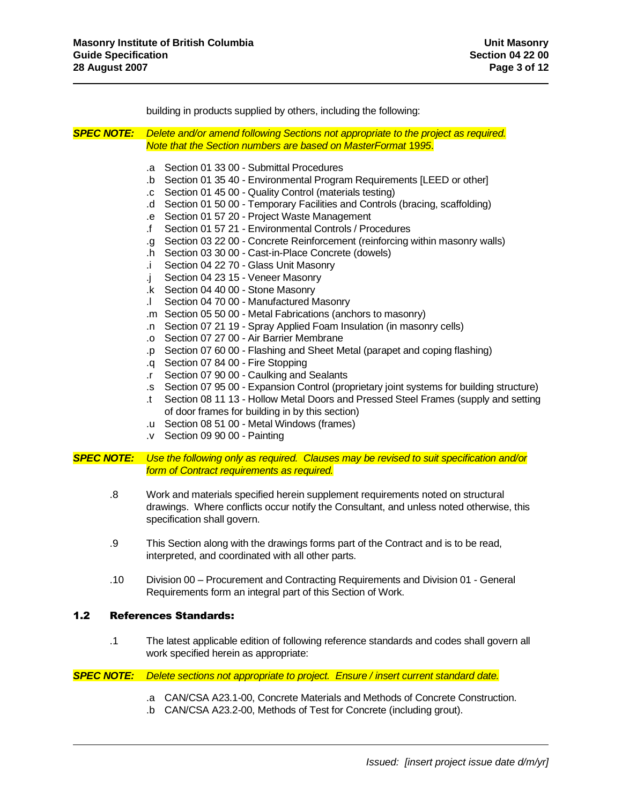building in products supplied by others, including the following:

*SPEC NOTE: Delete and/or amend following Sections not appropriate to the project as required. Note that the Section numbers are based on MasterFormat* 19*95*.

- .a Section 01 33 00 Submittal Procedures
- .b Section 01 35 40 Environmental Program Requirements [LEED or other]
- .c Section 01 45 00 Quality Control (materials testing)
- .d Section 01 50 00 Temporary Facilities and Controls (bracing, scaffolding)
- .e Section 01 57 20 Project Waste Management
- .f Section 01 57 21 Environmental Controls / Procedures
- .g Section 03 22 00 Concrete Reinforcement (reinforcing within masonry walls)
- .h Section 03 30 00 Cast-in-Place Concrete (dowels)
- .i Section 04 22 70 Glass Unit Masonry
- .j Section 04 23 15 Veneer Masonry
- .k Section 04 40 00 Stone Masonry
- .l Section 04 70 00 Manufactured Masonry
- .m Section 05 50 00 Metal Fabrications (anchors to masonry)
- .n Section 07 21 19 Spray Applied Foam Insulation (in masonry cells)
- .o Section 07 27 00 Air Barrier Membrane
- .p Section 07 60 00 Flashing and Sheet Metal (parapet and coping flashing)
- .q Section 07 84 00 Fire Stopping
- .r Section 07 90 00 Caulking and Sealants
- .s Section 07 95 00 Expansion Control (proprietary joint systems for building structure)
- .t Section 08 11 13 Hollow Metal Doors and Pressed Steel Frames (supply and setting of door frames for building in by this section)
- .u Section 08 51 00 Metal Windows (frames)
- .v Section 09 90 00 Painting

*SPEC NOTE: Use the following only as required. Clauses may be revised to suit specification and/or form of Contract requirements as required.*

- .8 Work and materials specified herein supplement requirements noted on structural drawings. Where conflicts occur notify the Consultant, and unless noted otherwise, this specification shall govern.
- .9 This Section along with the drawings forms part of the Contract and is to be read, interpreted, and coordinated with all other parts.
- .10 Division 00 Procurement and Contracting Requirements and Division 01 General Requirements form an integral part of this Section of Work.

# 1.2 References Standards:

.1 The latest applicable edition of following reference standards and codes shall govern all work specified herein as appropriate:

*SPEC NOTE: Delete sections not appropriate to project. Ensure / insert current standard date.*

- .a CAN/CSA A23.1-00, Concrete Materials and Methods of Concrete Construction.
- .b CAN/CSA A23.2-00, Methods of Test for Concrete (including grout).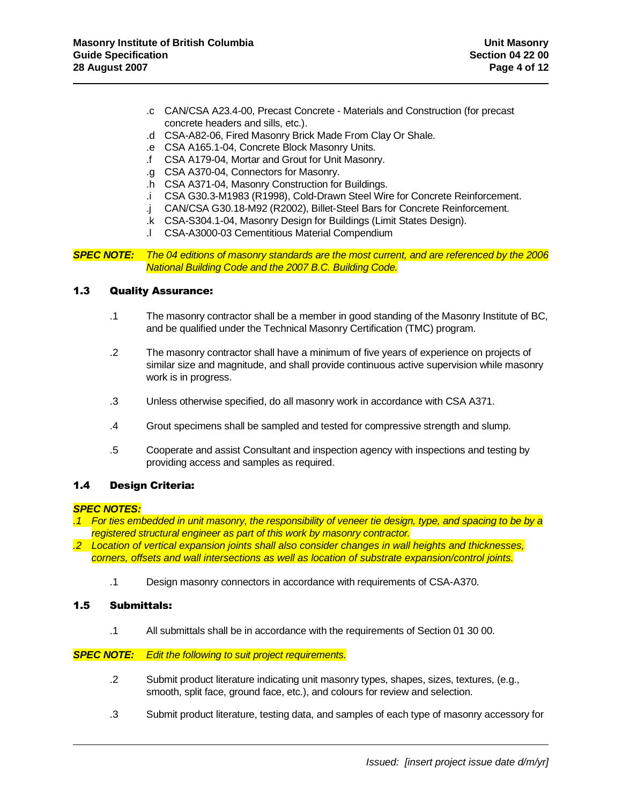- .c CAN/CSA A23.4-00, Precast Concrete Materials and Construction (for precast concrete headers and sills, etc.).
- .d CSA-A82-06, Fired Masonry Brick Made From Clay Or Shale.
- .e CSA A165.1-04, Concrete Block Masonry Units.
- .f CSA A179-04, Mortar and Grout for Unit Masonry.
- .g CSA A370-04, Connectors for Masonry.
- .h CSA A371-04, Masonry Construction for Buildings.
- .i CSA G30.3-M1983 (R1998), Cold-Drawn Steel Wire for Concrete Reinforcement.
- .j CAN/CSA G30.18-M92 (R2002), Billet-Steel Bars for Concrete Reinforcement.
- .k CSA-S304.1-04, Masonry Design for Buildings (Limit States Design).
- .l CSA-A3000-03 Cementitious Material Compendium

*SPEC NOTE: The 04 editions of masonry standards are the most current, and are referenced by the 2006 National Building Code and the 2007 B.C. Building Code.*

### 1.3 Quality Assurance:

- .1 The masonry contractor shall be a member in good standing of the Masonry Institute of BC, and be qualified under the Technical Masonry Certification (TMC) program.
- .2 The masonry contractor shall have a minimum of five years of experience on projects of similar size and magnitude, and shall provide continuous active supervision while masonry work is in progress.
- .3 Unless otherwise specified, do all masonry work in accordance with CSA A371.
- .4 Grout specimens shall be sampled and tested for compressive strength and slump.
- .5 Cooperate and assist Consultant and inspection agency with inspections and testing by providing access and samples as required.

# 1.4 Design Criteria:

#### *SPEC NOTES:*

- *.1 For ties embedded in unit masonry, the responsibility of veneer tie design, type, and spacing to be by a registered structural engineer as part of this work by masonry contractor.*
- *.2 Location of vertical expansion joints shall also consider changes in wall heights and thicknesses, corners, offsets and wall intersections as well as location of substrate expansion/control joints.*
	- .1 Design masonry connectors in accordance with requirements of CSA-A370.

### 1.5 Submittals:

.1 All submittals shall be in accordance with the requirements of Section 01 30 00.

#### *SPEC NOTE: Edit the following to suit project requirements.*

- .2 Submit product literature indicating unit masonry types, shapes, sizes, textures, (e.g., smooth, split face, ground face, etc.), and colours for review and selection.
- .3 Submit product literature, testing data, and samples of each type of masonry accessory for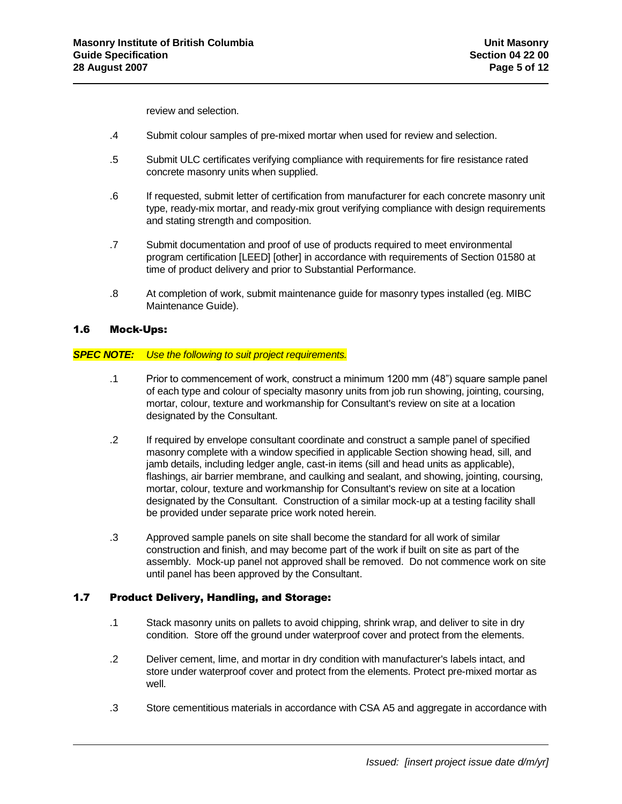review and selection.

- .4 Submit colour samples of pre-mixed mortar when used for review and selection.
- .5 Submit ULC certificates verifying compliance with requirements for fire resistance rated concrete masonry units when supplied.
- .6 If requested, submit letter of certification from manufacturer for each concrete masonry unit type, ready-mix mortar, and ready-mix grout verifying compliance with design requirements and stating strength and composition.
- .7 Submit documentation and proof of use of products required to meet environmental program certification [LEED] [other] in accordance with requirements of Section 01580 at time of product delivery and prior to Substantial Performance.
- .8 At completion of work, submit maintenance guide for masonry types installed (eg. MIBC Maintenance Guide).

# 1.6 Mock-Ups:

#### *SPEC NOTE: Use the following to suit project requirements.*

- .1 Prior to commencement of work, construct a minimum 1200 mm (48") square sample panel of each type and colour of specialty masonry units from job run showing, jointing, coursing, mortar, colour, texture and workmanship for Consultant's review on site at a location designated by the Consultant.
- .2 If required by envelope consultant coordinate and construct a sample panel of specified masonry complete with a window specified in applicable Section showing head, sill, and jamb details, including ledger angle, cast-in items (sill and head units as applicable), flashings, air barrier membrane, and caulking and sealant, and showing, jointing, coursing, mortar, colour, texture and workmanship for Consultant's review on site at a location designated by the Consultant. Construction of a similar mock-up at a testing facility shall be provided under separate price work noted herein.
- .3 Approved sample panels on site shall become the standard for all work of similar construction and finish, and may become part of the work if built on site as part of the assembly. Mock-up panel not approved shall be removed. Do not commence work on site until panel has been approved by the Consultant.

# 1.7 Product Delivery, Handling, and Storage:

- .1 Stack masonry units on pallets to avoid chipping, shrink wrap, and deliver to site in dry condition. Store off the ground under waterproof cover and protect from the elements.
- .2 Deliver cement, lime, and mortar in dry condition with manufacturer's labels intact, and store under waterproof cover and protect from the elements. Protect pre-mixed mortar as well.
- .3 Store cementitious materials in accordance with CSA A5 and aggregate in accordance with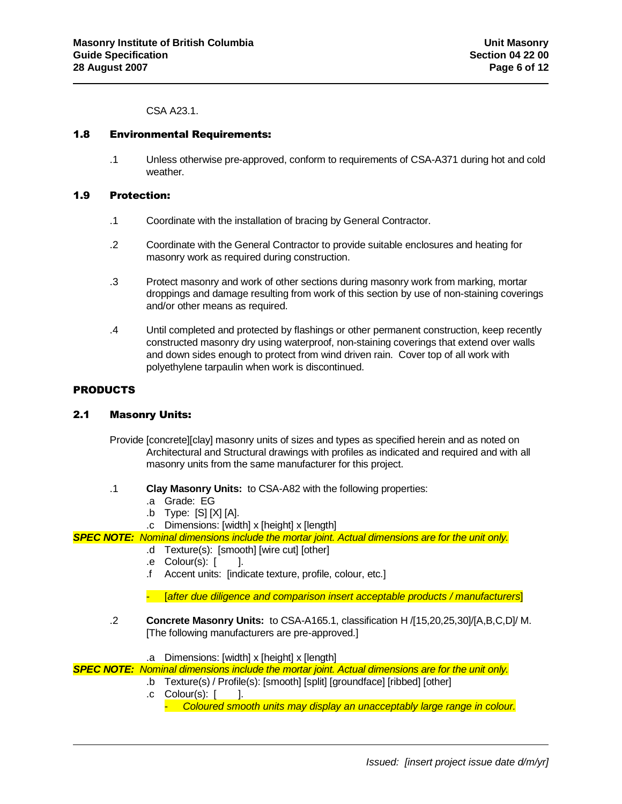CSA A23.1.

### 1.8 Environmental Requirements:

.1 Unless otherwise pre-approved, conform to requirements of CSA-A371 during hot and cold weather.

### 1.9 Protection:

- .1 Coordinate with the installation of bracing by General Contractor.
- .2 Coordinate with the General Contractor to provide suitable enclosures and heating for masonry work as required during construction.
- .3 Protect masonry and work of other sections during masonry work from marking, mortar droppings and damage resulting from work of this section by use of non-staining coverings and/or other means as required.
- .4 Until completed and protected by flashings or other permanent construction, keep recently constructed masonry dry using waterproof, non-staining coverings that extend over walls and down sides enough to protect from wind driven rain. Cover top of all work with polyethylene tarpaulin when work is discontinued.

# PRODUCTS

# 2.1 Masonry Units:

- Provide [concrete][clay] masonry units of sizes and types as specified herein and as noted on Architectural and Structural drawings with profiles as indicated and required and with all masonry units from the same manufacturer for this project.
- .1 **Clay Masonry Units:** to CSA-A82 with the following properties:
	- .a Grade: EG
	- .b Type: [S] [X] [A].
	- .c Dimensions: [width] x [height] x [length]

# *SPEC NOTE: Nominal dimensions include the mortar joint. Actual dimensions are for the unit only.*

- .d Texture(s): [smooth] [wire cut] [other]
- .e Colour(s): [ ].
- .f Accent units: [indicate texture, profile, colour, etc.]

- [*after due diligence and comparison insert acceptable products / manufacturers*]

- .2 **Concrete Masonry Units:** to CSA-A165.1, classification H /[15,20,25,30]/[A,B,C,D]/ M. [The following manufacturers are pre-approved.]
- .a Dimensions: [width] x [height] x [length]

*SPEC NOTE: Nominal dimensions include the mortar joint. Actual dimensions are for the unit only.*

- .b Texture(s) / Profile(s): [smooth] [split] [groundface] [ribbed] [other]
	- $\cdot$  Colour(s):  $\cdot$  1.
		- *Coloured smooth units may display an unacceptably large range in colour.*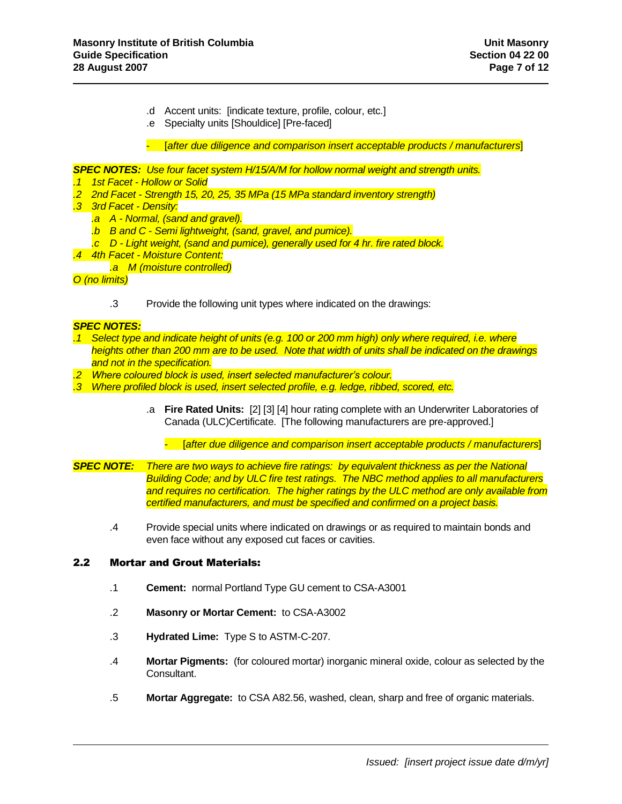- .d Accent units: [indicate texture, profile, colour, etc.]
- .e Specialty units [Shouldice] [Pre-faced]

- [*after due diligence and comparison insert acceptable products / manufacturers*]

*SPEC NOTES: Use four facet system H/15/A/M for hollow normal weight and strength units.*

- *.1 1st Facet - Hollow or Solid*
- *.2 2nd Facet - Strength 15, 20, 25, 35 MPa (15 MPa standard inventory strength)*
- *.3 3rd Facet - Density:*
	- *.a A - Normal, (sand and gravel).*
	- *.b B and C - Semi lightweight, (sand, gravel, and pumice).*
	- *.c D - Light weight, (sand and pumice), generally used for 4 hr. fire rated block.*
- *.4 4th Facet - Moisture Content:*
	- *.a M (moisture controlled)*

*O (no limits)*

.3 Provide the following unit types where indicated on the drawings:

# *SPEC NOTES:*

- *.1 Select type and indicate height of units (e.g. 100 or 200 mm high) only where required, i.e. where heights other than 200 mm are to be used. Note that width of units shall be indicated on the drawings and not in the specification.*
- *.2 Where coloured block is used, insert selected manufacturer's colour.*
- *.3 Where profiled block is used, insert selected profile, e.g. ledge, ribbed, scored, etc.*
	- .a **Fire Rated Units:** [2] [3] [4] hour rating complete with an Underwriter Laboratories of Canada (ULC)Certificate. [The following manufacturers are pre-approved.]

- [*after due diligence and comparison insert acceptable products / manufacturers*]

- *SPEC NOTE: There are two ways to achieve fire ratings: by equivalent thickness as per the National Building Code; and by ULC fire test ratings. The NBC method applies to all manufacturers and requires no certification. The higher ratings by the ULC method are only available from certified manufacturers, and must be specified and confirmed on a project basis.*
	- .4 Provide special units where indicated on drawings or as required to maintain bonds and even face without any exposed cut faces or cavities.

#### 2.2 Mortar and Grout Materials:

- .1 **Cement:** normal Portland Type GU cement to CSA-A3001
- .2 **Masonry or Mortar Cement:** to CSA-A3002
- .3 **Hydrated Lime:** Type S to ASTM-C-207.
- .4 **Mortar Pigments:** (for coloured mortar) inorganic mineral oxide, colour as selected by the Consultant.
- .5 **Mortar Aggregate:** to CSA A82.56, washed, clean, sharp and free of organic materials.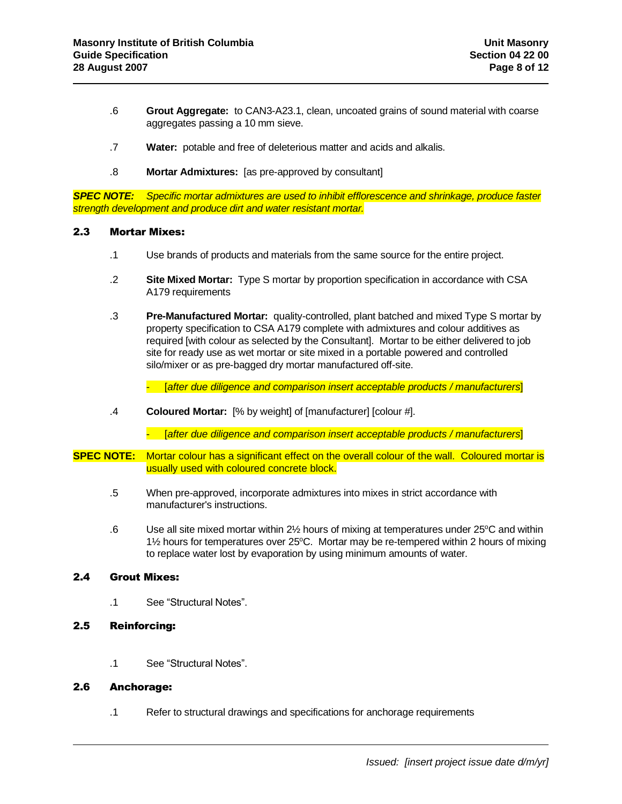- .6 **Grout Aggregate:** to CAN3-A23.1, clean, uncoated grains of sound material with coarse aggregates passing a 10 mm sieve.
- .7 **Water:** potable and free of deleterious matter and acids and alkalis.
- .8 **Mortar Admixtures:** [as pre-approved by consultant]

*SPEC NOTE: Specific mortar admixtures are used to inhibit efflorescence and shrinkage, produce faster strength development and produce dirt and water resistant mortar.*

### 2.3 Mortar Mixes:

- .1 Use brands of products and materials from the same source for the entire project.
- .2 **Site Mixed Mortar:** Type S mortar by proportion specification in accordance with CSA A179 requirements
- .3 **Pre-Manufactured Mortar:** quality-controlled, plant batched and mixed Type S mortar by property specification to CSA A179 complete with admixtures and colour additives as required [with colour as selected by the Consultant]. Mortar to be either delivered to job site for ready use as wet mortar or site mixed in a portable powered and controlled silo/mixer or as pre-bagged dry mortar manufactured off-site.

- [*after due diligence and comparison insert acceptable products / manufacturers*]

.4 **Coloured Mortar:** [% by weight] of [manufacturer] [colour #].

- [*after due diligence and comparison insert acceptable products / manufacturers*]

- **SPEC NOTE:** Mortar colour has a significant effect on the overall colour of the wall. Coloured mortar is usually used with coloured concrete block.
	- .5 When pre-approved, incorporate admixtures into mixes in strict accordance with manufacturer's instructions.
	- .6 Use all site mixed mortar within 2<sup>1</sup>/<sub>2</sub> hours of mixing at temperatures under 25°C and within  $1\frac{1}{2}$  hours for temperatures over 25 $\degree$ C. Mortar may be re-tempered within 2 hours of mixing to replace water lost by evaporation by using minimum amounts of water.

# 2.4 Grout Mixes:

.1 See "Structural Notes".

# 2.5 Reinforcing:

.1 See "Structural Notes".

# 2.6 Anchorage:

.1 Refer to structural drawings and specifications for anchorage requirements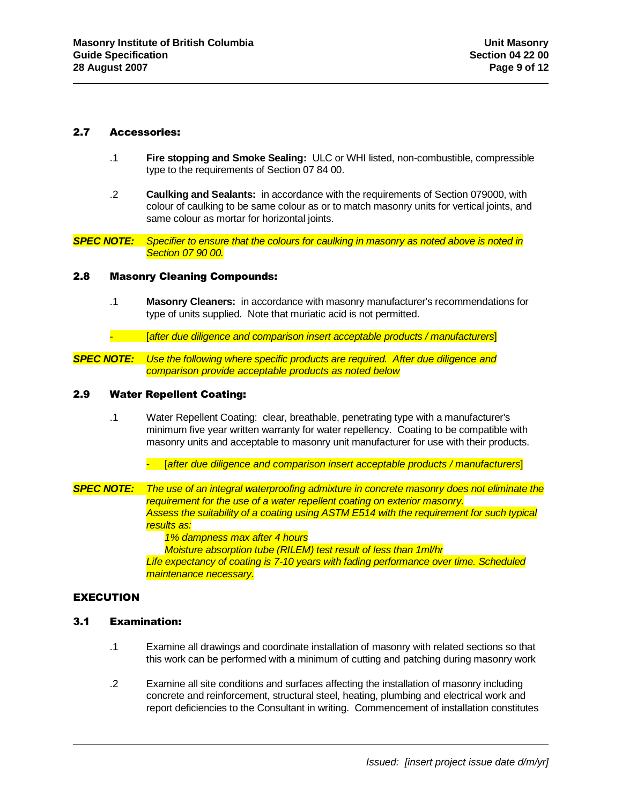#### 2.7 Accessories:

- .1 **Fire stopping and Smoke Sealing:** ULC or WHI listed, non-combustible, compressible type to the requirements of Section 07 84 00.
- .2 **Caulking and Sealants:** in accordance with the requirements of Section 079000, with colour of caulking to be same colour as or to match masonry units for vertical joints, and same colour as mortar for horizontal joints.

*SPEC NOTE: Specifier to ensure that the colours for caulking in masonry as noted above is noted in Section 07 90 00.*

#### 2.8 Masonry Cleaning Compounds:

- .1 **Masonry Cleaners:** in accordance with masonry manufacturer's recommendations for type of units supplied. Note that muriatic acid is not permitted.
- [*after due diligence and comparison insert acceptable products / manufacturers*]
- *SPEC NOTE: Use the following where specific products are required. After due diligence and comparison provide acceptable products as noted below*

#### 2.9 Water Repellent Coating:

- .1 Water Repellent Coating: clear, breathable, penetrating type with a manufacturer's minimum five year written warranty for water repellency. Coating to be compatible with masonry units and acceptable to masonry unit manufacturer for use with their products.
	- [*after due diligence and comparison insert acceptable products / manufacturers*]
- *SPEC NOTE: The use of an integral waterproofing admixture in concrete masonry does not eliminate the requirement for the use of a water repellent coating on exterior masonry. Assess the suitability of a coating using ASTM E514 with the requirement for such typical results as: 1% dampness max after 4 hours*

*Moisture absorption tube (RILEM) test result of less than 1ml/hr*

*Life expectancy of coating is 7-10 years with fading performance over time. Scheduled maintenance necessary.*

### EXECUTION

### 3.1 Examination:

- .1 Examine all drawings and coordinate installation of masonry with related sections so that this work can be performed with a minimum of cutting and patching during masonry work
- .2 Examine all site conditions and surfaces affecting the installation of masonry including concrete and reinforcement, structural steel, heating, plumbing and electrical work and report deficiencies to the Consultant in writing. Commencement of installation constitutes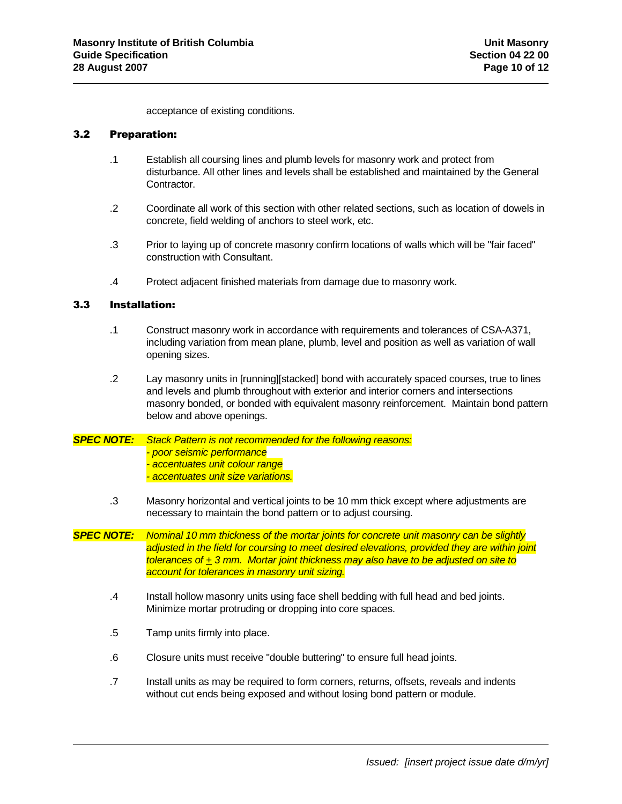acceptance of existing conditions.

# 3.2 Preparation:

- .1 Establish all coursing lines and plumb levels for masonry work and protect from disturbance. All other lines and levels shall be established and maintained by the General Contractor.
- .2 Coordinate all work of this section with other related sections, such as location of dowels in concrete, field welding of anchors to steel work, etc.
- .3 Prior to laying up of concrete masonry confirm locations of walls which will be "fair faced" construction with Consultant.
- .4 Protect adjacent finished materials from damage due to masonry work.

# 3.3 Installation:

- .1 Construct masonry work in accordance with requirements and tolerances of CSA-A371, including variation from mean plane, plumb, level and position as well as variation of wall opening sizes.
- .2 Lay masonry units in [running][stacked] bond with accurately spaced courses, true to lines and levels and plumb throughout with exterior and interior corners and intersections masonry bonded, or bonded with equivalent masonry reinforcement. Maintain bond pattern below and above openings.
- *SPEC NOTE: Stack Pattern is not recommended for the following reasons: - poor seismic performance - accentuates unit colour range - accentuates unit size variations.*
	- .3 Masonry horizontal and vertical joints to be 10 mm thick except where adjustments are necessary to maintain the bond pattern or to adjust coursing.
- *SPEC NOTE: Nominal 10 mm thickness of the mortar joints for concrete unit masonry can be slightly adjusted in the field for coursing to meet desired elevations, provided they are within joint tolerances of + 3 mm. Mortar joint thickness may also have to be adjusted on site to account for tolerances in masonry unit sizing.*
	- .4 Install hollow masonry units using face shell bedding with full head and bed joints. Minimize mortar protruding or dropping into core spaces.
	- .5 Tamp units firmly into place.
	- .6 Closure units must receive "double buttering" to ensure full head joints.
	- .7 Install units as may be required to form corners, returns, offsets, reveals and indents without cut ends being exposed and without losing bond pattern or module.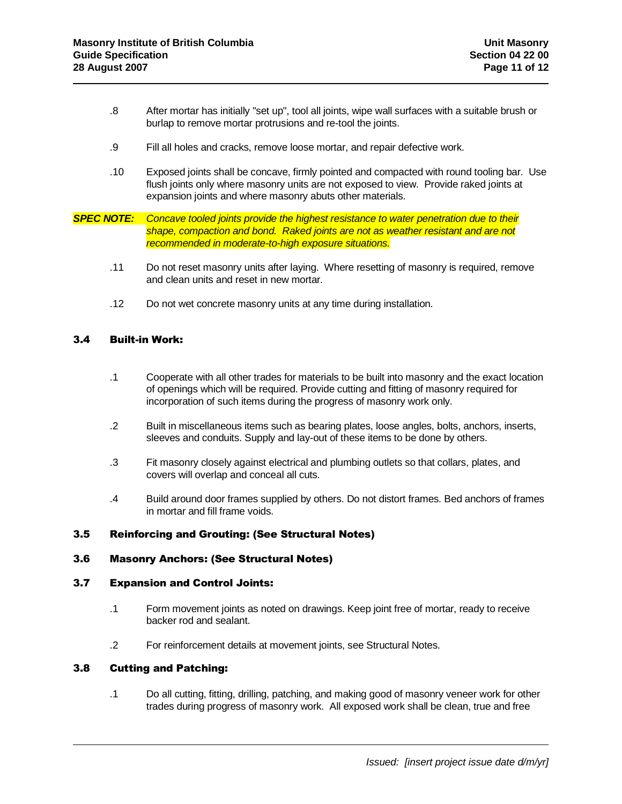- .8 After mortar has initially "set up", tool all joints, wipe wall surfaces with a suitable brush or burlap to remove mortar protrusions and re-tool the joints.
- .9 Fill all holes and cracks, remove loose mortar, and repair defective work.
- .10 Exposed joints shall be concave, firmly pointed and compacted with round tooling bar. Use flush joints only where masonry units are not exposed to view. Provide raked joints at expansion joints and where masonry abuts other materials.

*SPEC NOTE: Concave tooled joints provide the highest resistance to water penetration due to their shape, compaction and bond. Raked joints are not as weather resistant and are not recommended in moderate-to-high exposure situations.*

- .11 Do not reset masonry units after laying. Where resetting of masonry is required, remove and clean units and reset in new mortar.
- .12 Do not wet concrete masonry units at any time during installation.

#### 3.4 Built-in Work:

- .1 Cooperate with all other trades for materials to be built into masonry and the exact location of openings which will be required. Provide cutting and fitting of masonry required for incorporation of such items during the progress of masonry work only.
- .2 Built in miscellaneous items such as bearing plates, loose angles, bolts, anchors, inserts, sleeves and conduits. Supply and lay-out of these items to be done by others.
- .3 Fit masonry closely against electrical and plumbing outlets so that collars, plates, and covers will overlap and conceal all cuts.
- .4 Build around door frames supplied by others. Do not distort frames. Bed anchors of frames in mortar and fill frame voids.

#### 3.5 Reinforcing and Grouting: (See Structural Notes)

### 3.6 Masonry Anchors: (See Structural Notes)

### 3.7 Expansion and Control Joints:

- .1 Form movement joints as noted on drawings. Keep joint free of mortar, ready to receive backer rod and sealant.
- .2 For reinforcement details at movement joints, see Structural Notes.

### 3.8 Cutting and Patching:

.1 Do all cutting, fitting, drilling, patching, and making good of masonry veneer work for other trades during progress of masonry work. All exposed work shall be clean, true and free